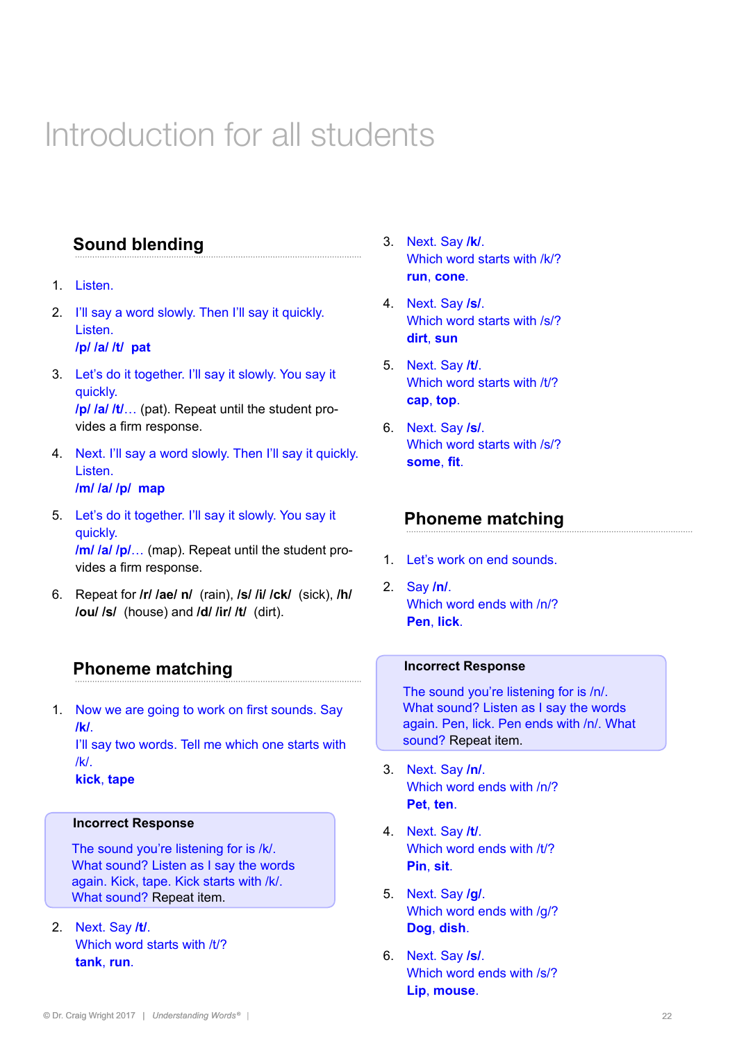# Introduction for all students

# **Sound blending**

- 1. Listen.
- 2. I'll say a word slowly. Then I'll say it quickly. Listen.

**/p/ /a/ /t/ pat**

- 3. Let's do it together. I'll say it slowly. You say it quickly. **/p/ /a/ /t/**… (pat). Repeat until the student provides a firm response.
- 4. Next. I'll say a word slowly. Then I'll say it quickly. Listen. **/m/ /a/ /p/ map**
- 5. Let's do it together. I'll say it slowly. You say it quickly. **/m/ /a/ /p/**… (map). Repeat until the student provides a firm response.
- 6. Repeat for **/r/ /ae/ n/** (rain), **/s/ /i/ /ck/** (sick), **/h/ /ou/ /s/** (house) and **/d/ /ir/ /t/** (dirt).

## **Phoneme matching**

1. Now we are going to work on first sounds. Say **/k/**.

I'll say two words. Tell me which one starts with /k/.

**kick**, **tape**

### **Incorrect Response**

The sound you're listening for is /k/. What sound? Listen as I say the words again. Kick, tape. Kick starts with /k/. What sound? Repeat item.

2. Next. Say **/t/**. Which word starts with /t/? **tank**, **run**.

- 3. Next. Say **/k/**. Which word starts with /k/? **run**, **cone**.
- 4. Next. Say **/s/**. Which word starts with /s/? **dirt**, **sun**
- 5. Next. Say **/t/**. Which word starts with /t/? **cap**, **top**.
- 6. Next. Say **/s/**. Which word starts with /s/? **some**, **fit**.

## **Phoneme matching**

- 1. Let's work on end sounds.
- 2. Say **/n/**. Which word ends with /n/? **Pen**, **lick**.

#### **Incorrect Response**

The sound you're listening for is /n/. What sound? Listen as I say the words again. Pen, lick. Pen ends with /n/. What sound? Repeat item.

- 3. Next. Say **/n/**. Which word ends with /n/? **Pet**, **ten**.
- 4. Next. Say **/t/**. Which word ends with /t/? **Pin**, **sit**.
- 5. Next. Say **/g/**. Which word ends with /g/? **Dog**, **dish**.
- 6. Next. Say **/s/**. Which word ends with /s/? **Lip**, **mouse**.